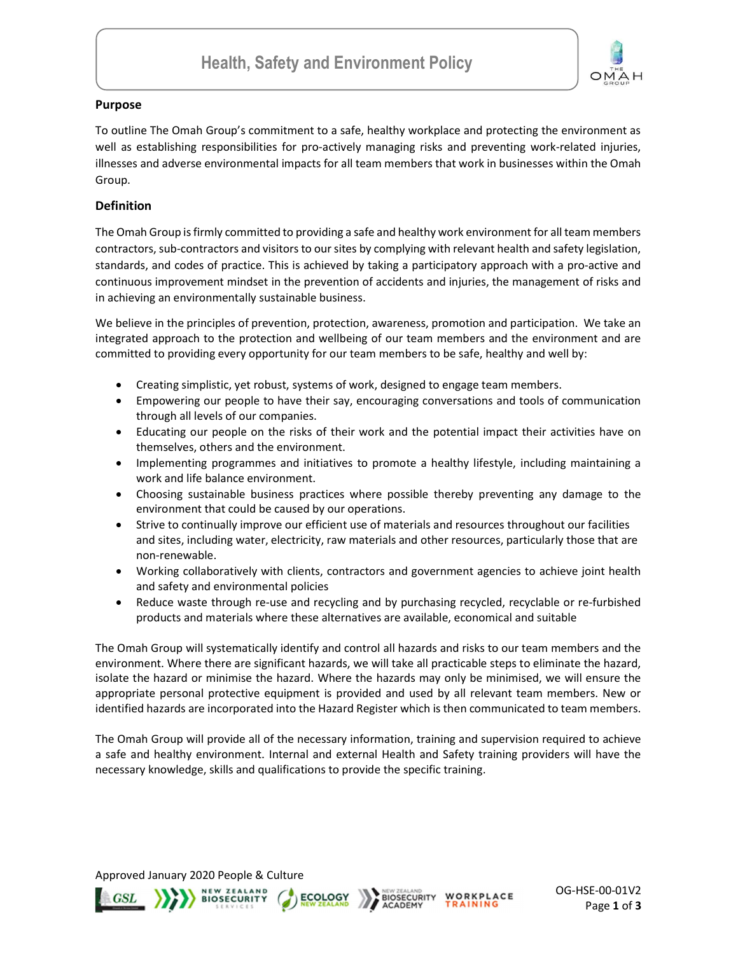

## Purpose

To outline The Omah Group's commitment to a safe, healthy workplace and protecting the environment as well as establishing responsibilities for pro-actively managing risks and preventing work-related injuries, illnesses and adverse environmental impacts for all team members that work in businesses within the Omah Group.

# **Definition**

The Omah Group is firmly committed to providing a safe and healthy work environment for all team members contractors, sub-contractors and visitors to our sites by complying with relevant health and safety legislation, standards, and codes of practice. This is achieved by taking a participatory approach with a pro-active and continuous improvement mindset in the prevention of accidents and injuries, the management of risks and in achieving an environmentally sustainable business.

We believe in the principles of prevention, protection, awareness, promotion and participation. We take an integrated approach to the protection and wellbeing of our team members and the environment and are committed to providing every opportunity for our team members to be safe, healthy and well by:

- Creating simplistic, yet robust, systems of work, designed to engage team members.
- Empowering our people to have their say, encouraging conversations and tools of communication through all levels of our companies.
- Educating our people on the risks of their work and the potential impact their activities have on themselves, others and the environment.
- Implementing programmes and initiatives to promote a healthy lifestyle, including maintaining a work and life balance environment.
- Choosing sustainable business practices where possible thereby preventing any damage to the environment that could be caused by our operations.
- Strive to continually improve our efficient use of materials and resources throughout our facilities and sites, including water, electricity, raw materials and other resources, particularly those that are non-renewable.
- Working collaboratively with clients, contractors and government agencies to achieve joint health and safety and environmental policies
- Reduce waste through re-use and recycling and by purchasing recycled, recyclable or re-furbished products and materials where these alternatives are available, economical and suitable

The Omah Group will systematically identify and control all hazards and risks to our team members and the environment. Where there are significant hazards, we will take all practicable steps to eliminate the hazard, isolate the hazard or minimise the hazard. Where the hazards may only be minimised, we will ensure the appropriate personal protective equipment is provided and used by all relevant team members. New or identified hazards are incorporated into the Hazard Register which is then communicated to team members.

The Omah Group will provide all of the necessary information, training and supervision required to achieve a safe and healthy environment. Internal and external Health and Safety training providers will have the necessary knowledge, skills and qualifications to provide the specific training.

Approved January 2020 People & Culture



**NEW ZEALAND**<br>BIOSECURITY **ECOLOGY** 



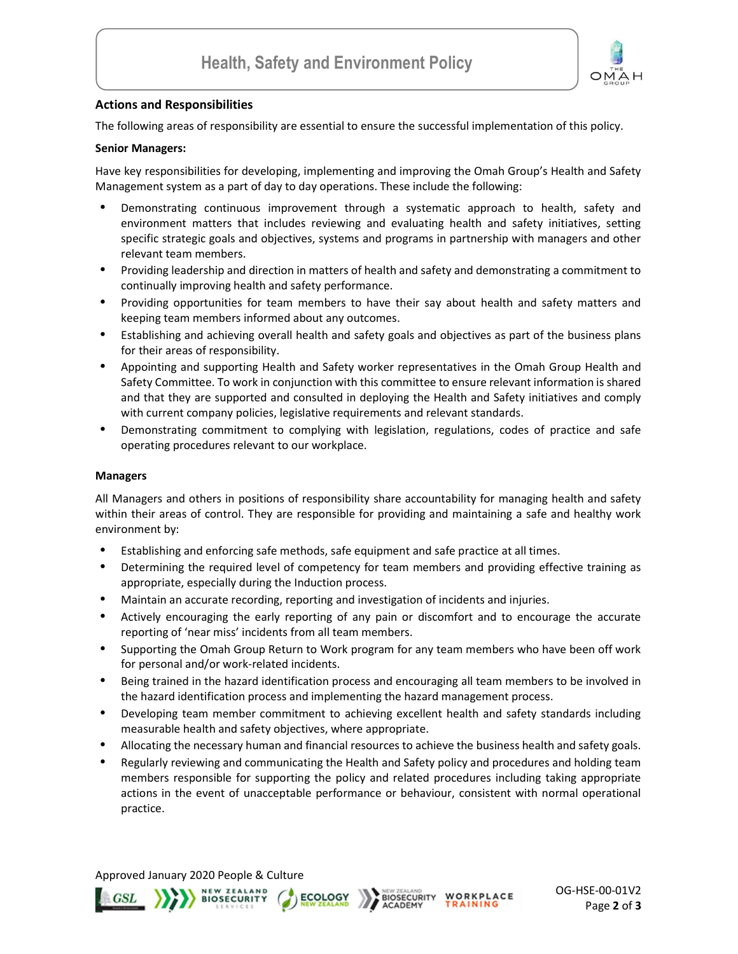

## Actions and Responsibilities

The following areas of responsibility are essential to ensure the successful implementation of this policy.

### Senior Managers:

Have key responsibilities for developing, implementing and improving the Omah Group's Health and Safety Management system as a part of day to day operations. These include the following:

- Demonstrating continuous improvement through a systematic approach to health, safety and environment matters that includes reviewing and evaluating health and safety initiatives, setting specific strategic goals and objectives, systems and programs in partnership with managers and other relevant team members.
- Providing leadership and direction in matters of health and safety and demonstrating a commitment to continually improving health and safety performance.
- Providing opportunities for team members to have their say about health and safety matters and keeping team members informed about any outcomes.
- Establishing and achieving overall health and safety goals and objectives as part of the business plans for their areas of responsibility.
- Appointing and supporting Health and Safety worker representatives in the Omah Group Health and Safety Committee. To work in conjunction with this committee to ensure relevant information is shared and that they are supported and consulted in deploying the Health and Safety initiatives and comply with current company policies, legislative requirements and relevant standards.
- Demonstrating commitment to complying with legislation, regulations, codes of practice and safe operating procedures relevant to our workplace.

#### Managers

All Managers and others in positions of responsibility share accountability for managing health and safety within their areas of control. They are responsible for providing and maintaining a safe and healthy work environment by:

- Establishing and enforcing safe methods, safe equipment and safe practice at all times.
- Determining the required level of competency for team members and providing effective training as appropriate, especially during the Induction process.
- Maintain an accurate recording, reporting and investigation of incidents and injuries.
- Actively encouraging the early reporting of any pain or discomfort and to encourage the accurate reporting of 'near miss' incidents from all team members.
- Supporting the Omah Group Return to Work program for any team members who have been off work for personal and/or work-related incidents.
- Being trained in the hazard identification process and encouraging all team members to be involved in the hazard identification process and implementing the hazard management process.
- Developing team member commitment to achieving excellent health and safety standards including measurable health and safety objectives, where appropriate.
- Allocating the necessary human and financial resources to achieve the business health and safety goals.
- Regularly reviewing and communicating the Health and Safety policy and procedures and holding team members responsible for supporting the policy and related procedures including taking appropriate actions in the event of unacceptable performance or behaviour, consistent with normal operational practice.

Approved January 2020 People & Culture